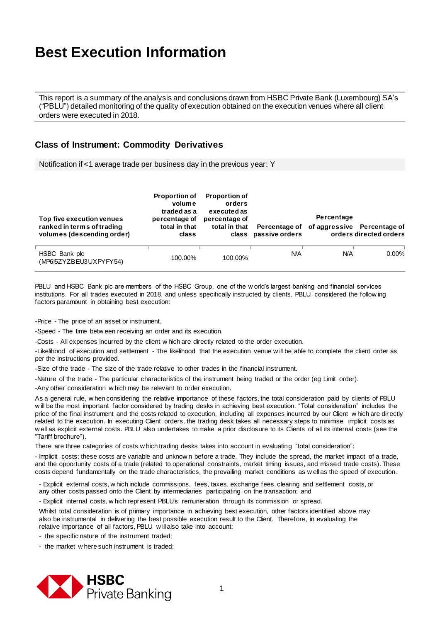This report is a summary of the analysis and conclusions drawn from HSBC Private Bank (Luxembourg) SA's ("PBLU") detailed monitoring of the quality of execution obtained on the execution venues where all client orders were executed in 2018.

#### **Class of Instrument: Commodity Derivatives**

Notification if <1 average trade per business day in the previous year: Y

| Top five execution venues<br>ranked in terms of trading<br>volumes (descending order) | <b>Proportion of</b><br>volume<br>traded as a<br>percentage of<br>total in that<br>class | <b>Proportion of</b><br>orders<br>executed as<br>percentage of<br>total in that | Percentage of<br>class passive orders | Percentage | of aggressive Percentage of<br>orders directed orders |
|---------------------------------------------------------------------------------------|------------------------------------------------------------------------------------------|---------------------------------------------------------------------------------|---------------------------------------|------------|-------------------------------------------------------|
| HSBC Bank plc<br>(MP615ZYZBEU3UXPYFY54)                                               | 100.00%                                                                                  | 100.00%                                                                         | <b>N/A</b>                            | <b>N/A</b> | $0.00\%$                                              |

PBLU and HSBC Bank plc are members of the HSBC Group, one of the w orld's largest banking and financial services institutions. For all trades executed in 2018, and unless specifically instructed by clients, PBLU considered the follow ing factors paramount in obtaining best execution:

-Price - The price of an asset or instrument.

-Speed - The time betw een receiving an order and its execution.

-Costs - All expenses incurred by the client w hich are directly related to the order execution.

-Likelihood of execution and settlement - The likelihood that the execution venue w ill be able to complete the client order as per the instructions provided.

-Size of the trade - The size of the trade relative to other trades in the financial instrument.

-Nature of the trade - The particular characteristics of the instrument being traded or the order (eg Limit order).

-Any other consideration w hich may be relevant to order execution.

As a general rule, w hen considering the relative importance of these factors, the total consideration paid by clients of PBLU w ill be the most important factor considered by trading desks in achieving best execution. "Total consideration" includes the price of the final instrument and the costs related to execution, including all expenses incurred by our Client w hich are dir ectly related to the execution. In executing Client orders, the trading desk takes all necessary steps to minimise implicit costs as w ell as explicit external costs. PBLU also undertakes to make a prior disclosure to its Clients of all its internal costs (see the "Tariff brochure").

There are three categories of costs w hich trading desks takes into account in evaluating "total consideration":

- Implicit costs: these costs are variable and unknow n before a trade. They include the spread, the market impact of a trade, and the opportunity costs of a trade (related to operational constraints, market timing issues, and missed trade costs). These costs depend fundamentally on the trade characteristics, the prevailing market conditions as w ell as the speed of execution.

- Explicit external costs, w hich include commissions, fees, taxes, exchange fees, clearing and settlement costs, or any other costs passed onto the Client by intermediaries participating on the transaction; and

- Explicit internal costs, w hich represent PBLU's remuneration through its commission or spread.

Whilst total consideration is of primary importance in achieving best execution, other factors identified above may also be instrumental in delivering the best possible execution result to the Client. Therefore, in evaluating the relative importance of all factors, PBLU w ill also take into account:

- the specific nature of the instrument traded;

- the market w here such instrument is traded;

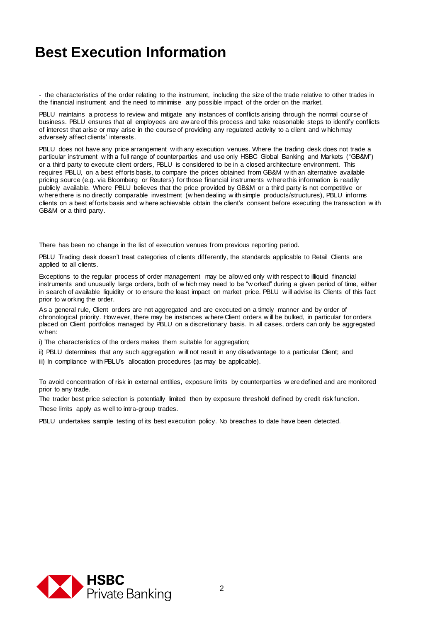- the characteristics of the order relating to the instrument, including the size of the trade relative to other trades in the financial instrument and the need to minimise any possible impact of the order on the market.

PBLU maintains a process to review and mitigate any instances of conflicts arising through the normal course of business. PBLU ensures that all employees are aw are of this process and take reasonable steps to identify conflicts of interest that arise or may arise in the course of providing any regulated activity to a client and w hich may adversely affect clients' interests.

PBLU does not have any price arrangement with any execution venues. Where the trading desk does not trade a particular instrument w ith a full range of counterparties and use only HSBC Global Banking and Markets ("GB&M") or a third party to execute client orders, PBLU is considered to be in a closed architecture environment. This requires PBLU, on a best efforts basis, to compare the prices obtained from GB&M w ith an alternative available pricing source (e.g. via Bloomberg or Reuters) for those financial instruments w here this information is readily publicly available. Where PBLU believes that the price provided by GB&M or a third party is not competitive or w here there is no directly comparable investment (w hen dealing w ith simple products/structures), PBLU informs clients on a best efforts basis and w here achievable obtain the client's consent before executing the transaction w ith GB&M or a third party.

There has been no change in the list of execution venues from previous reporting period.

PBLU Trading desk doesn't treat categories of clients differently, the standards applicable to Retail Clients are applied to all clients.

Exceptions to the regular process of order management may be allow ed only w ith respect to illiquid financial instruments and unusually large orders, both of w hich may need to be "w orked" during a given period of time, either in search of available liquidity or to ensure the least impact on market price. PBLU w ill advise its Clients of this fact prior to w orking the order.

As a general rule, Client orders are not aggregated and are executed on a timely manner and by order of chronological priority. How ever, there may be instances w here Client orders w ill be bulked, in particular for orders placed on Client portfolios managed by PBLU on a discretionary basis. In all cases, orders can only be aggregated w hen:

i) The characteristics of the orders makes them suitable for aggregation;

ii) PBLU determines that any such aggregation w ill not result in any disadvantage to a particular Client; and

iii) In compliance with PBLU's allocation procedures (as may be applicable).

To avoid concentration of risk in external entities, exposure limits by counterparties w ere defined and are monitored prior to any trade.

The trader best price selection is potentially limited then by exposure threshold defined by credit risk function.

These limits apply as w ell to intra-group trades.

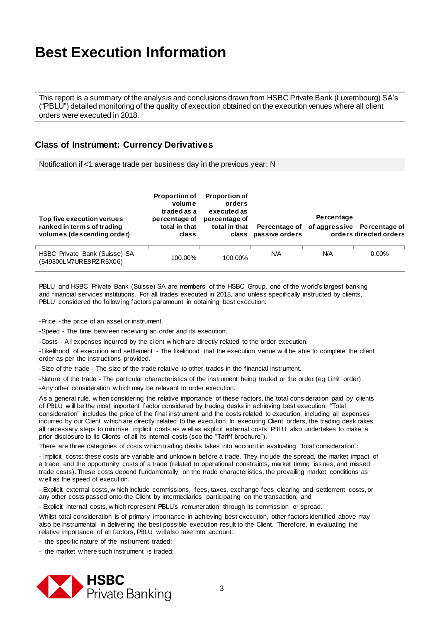This report is a summary of the analysis and conclusions drawn from HSBC Private Bank (Luxembourg) SA's ("PBLU") detailed monitoring of the quality of execution obtained on the execution venues where all client orders were executed in 2018.

#### **Class of Instrument: Currency Derivatives**

Notification if <1 average trade per business day in the previous year: N

| Top five execution venues<br>ranked in terms of trading<br>volumes (descending order) | <b>Proportion of</b><br>volume<br>traded as a<br>percentage of<br>total in that<br>class | <b>Proportion of</b><br>orders<br>executed as<br>percentage of<br>total in that | Percentage of<br>class passive orders | Percentage | of aggressive Percentage of<br>orders directed orders |
|---------------------------------------------------------------------------------------|------------------------------------------------------------------------------------------|---------------------------------------------------------------------------------|---------------------------------------|------------|-------------------------------------------------------|
| HSBC Private Bank (Suisse) SA<br>(549300LM7URE8RZR5X06)                               | 100.00%                                                                                  | 100.00%                                                                         | <b>N/A</b>                            | ΝA         | $0.00\%$                                              |

PBLU and HSBC Private Bank (Suisse) SA are members of the HSBC Group, one of the w orld's largest banking and financial services institutions. For all trades executed in 2018, and unless specifically instructed by clients, PBLU considered the follow ing factors paramount in obtaining best execution:

-Price - the price of an asset or instrument.

-Speed - The time betw een receiving an order and its execution.

-Costs - All expenses incurred by the client w hich are directly related to the order execution.

-Likelihood of execution and settlement - The likelihood that the execution venue w ill be able to complete the client order as per the instructions provided.

-Size of the trade - The size of the trade relative to other trades in the financial instrument.

-Nature of the trade - The particular characteristics of the instrument being traded or the order (eg Limit order).

-Any other consideration w hich may be relevant to order execution.

As a general rule, w hen considering the relative importance of these factors, the total consideration paid by clients of PBLU w ill be the most important factor considered by trading desks in achieving best execution. "Total consideration" includes the price of the final instrument and the costs related to execution, including all expenses incurred by our Client w hich are directly related to the execution. In executing Client orders, the trading desk takes all necessary steps to minimise implicit costs as w ell as explicit external costs. PBLU also undertakes to make a prior disclosure to its Clients of all its internal costs (see the "Tariff brochure").

There are three categories of costs w hich trading desks takes into account in evaluating "total consideration":

- Implicit costs: these costs are variable and unknow n before a trade. They include the spread, the market impact of a trade, and the opportunity costs of a trade (related to operational constraints, market timing iss ues, and missed trade costs). These costs depend fundamentally on the trade characteristics, the prevailing market conditions as w ell as the speed of execution.

- Explicit external costs, w hich include commissions, fees, taxes, exchange fees, clearing and settlement costs, or any other costs passed onto the Client by intermediaries participating on the transaction; and

- Explicit internal costs, w hich represent PBLU's remuneration through its commission or spread.

Whilst total consideration is of primary importance in achieving best execution, other factors identified above may also be instrumental in delivering the best possible execution result to the Client. Therefore, in evaluating the relative importance of all factors, PBLU w ill also take into account:

- the specific nature of the instrument traded;

- the market w here such instrument is traded;

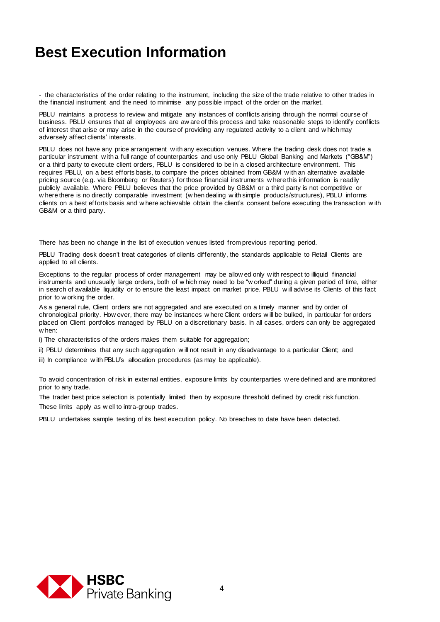- the characteristics of the order relating to the instrument, including the size of the trade relative to other trades in the financial instrument and the need to minimise any possible impact of the order on the market.

PBLU maintains a process to review and mitigate any instances of conflicts arising through the normal course of business. PBLU ensures that all employees are aw are of this process and take reasonable steps to identify conflicts of interest that arise or may arise in the course of providing any regulated activity to a client and w hich may adversely affect clients' interests.

PBLU does not have any price arrangement with any execution venues. Where the trading desk does not trade a particular instrument w ith a full range of counterparties and use only PBLU Global Banking and Markets ("GB&M") or a third party to execute client orders, PBLU is considered to be in a closed architecture environment. This requires PBLU, on a best efforts basis, to compare the prices obtained from GB&M w ith an alternative available pricing source (e.g. via Bloomberg or Reuters) for those financial instruments w here this information is readily publicly available. Where PBLU believes that the price provided by GB&M or a third party is not competitive or w here there is no directly comparable investment (w hen dealing w ith simple products/structures), PBLU informs clients on a best efforts basis and w here achievable obtain the client's consent before executing the transaction w ith GB&M or a third party.

There has been no change in the list of execution venues listed from previous reporting period.

PBLU Trading desk doesn't treat categories of clients differently, the standards applicable to Retail Clients are applied to all clients.

Exceptions to the regular process of order management may be allow ed only w ith respect to illiquid financial instruments and unusually large orders, both of w hich may need to be "w orked" during a given period of time, either in search of available liquidity or to ensure the least impact on market price. PBLU w ill advise its Clients of this fact prior to w orking the order.

As a general rule, Client orders are not aggregated and are executed on a timely manner and by order of chronological priority. How ever, there may be instances w here Client orders w ill be bulked, in particular for orders placed on Client portfolios managed by PBLU on a discretionary basis. In all cases, orders can only be aggregated w hen:

i) The characteristics of the orders makes them suitable for aggregation;

ii) PBLU determines that any such aggregation w ill not result in any disadvantage to a particular Client; and

iii) In compliance with PBLU's allocation procedures (as may be applicable).

To avoid concentration of risk in external entities, exposure limits by counterparties w ere defined and are monitored prior to any trade.

The trader best price selection is potentially limited then by exposure threshold defined by credit risk function. These limits apply as w ell to intra-group trades.

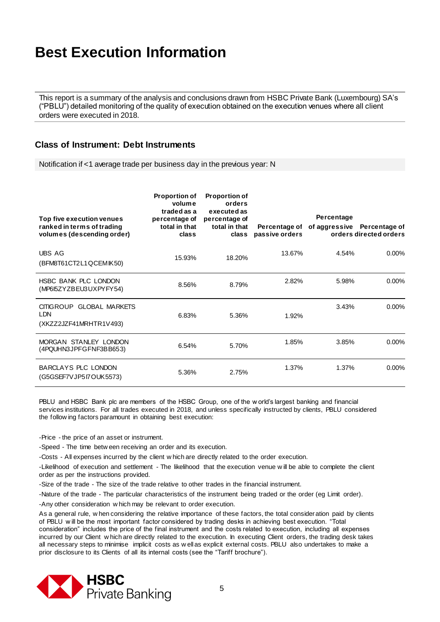This report is a summary of the analysis and conclusions drawn from HSBC Private Bank (Luxembourg) SA's ("PBLU") detailed monitoring of the quality of execution obtained on the execution venues where all client orders were executed in 2018.

#### **Class of Instrument: Debt Instruments**

Notification if <1 average trade per business day in the previous year: N

| Top five execution venues<br>ranked in terms of trading<br>volumes (descending order) | <b>Proportion of</b><br>volume<br>traded as a<br>percentage of<br>total in that<br>class | <b>Proportion of</b><br>orders<br>executed as<br>percentage of<br>total in that<br>class | Percentage of<br>passive orders | Percentage<br>of aggressive Percentage of | orders directed orders |
|---------------------------------------------------------------------------------------|------------------------------------------------------------------------------------------|------------------------------------------------------------------------------------------|---------------------------------|-------------------------------------------|------------------------|
| <b>UBS AG</b><br>(BFM8T61CT2L1QCEMIK50)                                               | 15.93%                                                                                   | 18.20%                                                                                   | 13.67%                          | 4.54%                                     | $0.00\%$               |
| HSBC BANK PLC LONDON<br>(MP6I5ZYZBEU3UXPYFY54)                                        | 8.56%                                                                                    | 8.79%                                                                                    | 2.82%                           | 5.98%                                     | $0.00\%$               |
| <b>CITIGROUP</b><br><b>GLOBAL MARKETS</b><br><b>LDN</b><br>(XKZZ2JZF41MRHTR1V493)     | 6.83%                                                                                    | 5.36%                                                                                    | 1.92%                           | 3.43%                                     | $0.00\%$               |
| MORGAN STANLEY LONDON<br>(4PQUHN3JPFGFNF3BB653)                                       | 6.54%                                                                                    | 5.70%                                                                                    | 1.85%                           | 3.85%                                     | $0.00\%$               |
| BARCLAYS PLC LONDON<br>(G5GSEF7VJP517OUK5573)                                         | 5.36%                                                                                    | 2.75%                                                                                    | 1.37%                           | 1.37%                                     | $0.00\%$               |

PBLU and HSBC Bank plc are members of the HSBC Group, one of the w orld's largest banking and financial services institutions. For all trades executed in 2018, and unless specifically instructed by clients, PBLU considered the follow ing factors paramount in obtaining best execution:

-Price - the price of an asset or instrument.

-Speed - The time betw een receiving an order and its execution.

-Costs - All expenses incurred by the client w hich are directly related to the order execution.

-Likelihood of execution and settlement - The likelihood that the execution venue w ill be able to complete the client order as per the instructions provided.

-Size of the trade - The size of the trade relative to other trades in the financial instrument.

-Nature of the trade - The particular characteristics of the instrument being traded or the order (eg Limit order).

-Any other consideration w hich may be relevant to order execution.

As a general rule, w hen considering the relative importance of these factors, the total consideration paid by clients of PBLU w ill be the most important factor considered by trading desks in achieving best execution. "Total consideration" includes the price of the final instrument and the costs related to execution, including all expenses incurred by our Client w hich are directly related to the execution. In executing Client orders, the trading desk takes all necessary steps to minimise implicit costs as w ell as explicit external costs. PBLU also undertakes to make a prior disclosure to its Clients of all its internal costs (see the "Tariff brochure").

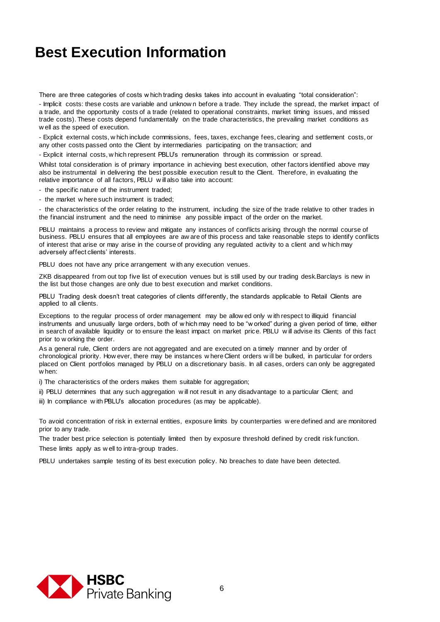There are three categories of costs w hich trading desks takes into account in evaluating "total consideration":

- Implicit costs: these costs are variable and unknow n before a trade. They include the spread, the market impact of a trade, and the opportunity costs of a trade (related to operational constraints, market timing issues, and missed trade costs). These costs depend fundamentally on the trade characteristics, the prevailing market conditions as w ell as the speed of execution.

- Explicit external costs, w hich include commissions, fees, taxes, exchange fees, clearing and settlement costs, or any other costs passed onto the Client by intermediaries participating on the transaction; and

- Explicit internal costs, w hich represent PBLU's remuneration through its commission or spread.

Whilst total consideration is of primary importance in achieving best execution, other factors identified above may also be instrumental in delivering the best possible execution result to the Client. Therefore, in evaluating the relative importance of all factors, PBLU w ill also take into account:

- the specific nature of the instrument traded;

- the market w here such instrument is traded;

- the characteristics of the order relating to the instrument, including the size of the trade relative to other trades in the financial instrument and the need to minimise any possible impact of the order on the market.

PBLU maintains a process to review and mitigate any instances of conflicts arising through the normal course of business. PBLU ensures that all employees are aw are of this process and take reasonable steps to identify conflicts of interest that arise or may arise in the course of providing any regulated activity to a client and w hich may adversely affect clients' interests.

PBLU does not have any price arrangement with any execution venues.

ZKB disappeared from out top five list of execution venues but is still used by our trading desk.Barclays is new in the list but those changes are only due to best execution and market conditions.

PBLU Trading desk doesn't treat categories of clients differently, the standards applicable to Retail Clients are applied to all clients.

Exceptions to the regular process of order management may be allow ed only w ith respect to illiquid financial instruments and unusually large orders, both of w hich may need to be "w orked" during a given period of time, either in search of available liquidity or to ensure the least impact on market price. PBLU w ill advise its Clients of this fact prior to w orking the order.

As a general rule, Client orders are not aggregated and are executed on a timely manner and by order of chronological priority. How ever, there may be instances w here Client orders w ill be bulked, in particular for orders placed on Client portfolios managed by PBLU on a discretionary basis. In all cases, orders can only be aggregated w hen:

i) The characteristics of the orders makes them suitable for aggregation;

ii) PBLU determines that any such aggregation w ill not result in any disadvantage to a particular Client; and

iii) In compliance with PBLU's allocation procedures (as may be applicable).

To avoid concentration of risk in external entities, exposure limits by counterparties w ere defined and are monitored prior to any trade.

The trader best price selection is potentially limited then by exposure threshold defined by credit risk function. These limits apply as w ell to intra-group trades.

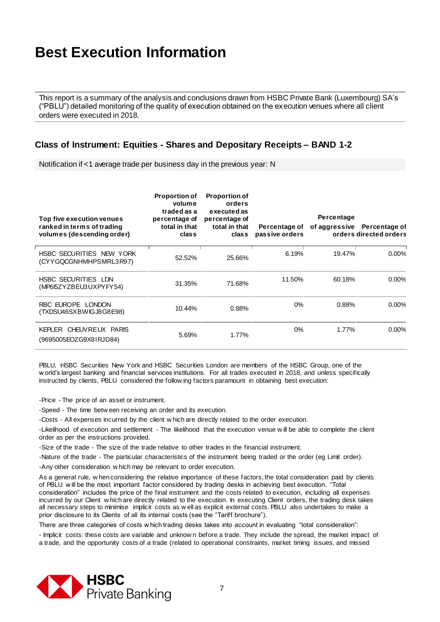This report is a summary of the analysis and conclusions drawn from HSBC Private Bank (Luxembourg) SA's ("PBLU") detailed monitoring of the quality of execution obtained on the execution venues where all client orders were executed in 2018.

#### **Class of Instrument: Equities - Shares and Depositary Receipts – BAND 1-2**

Notification if <1 average trade per business day in the previous year: N

| Top five execution venues<br>ranked in terms of trading<br>volumes (descending order) | <b>Proportion of</b><br>volume<br>traded as a<br>percentage of<br>total in that<br>class | <b>Proportion of</b><br>orders<br>executed as<br>percentage of<br>total in that<br>class | Percentage of<br>passive orders | Percentage | of aggressive Percentage of<br>orders directed orders |
|---------------------------------------------------------------------------------------|------------------------------------------------------------------------------------------|------------------------------------------------------------------------------------------|---------------------------------|------------|-------------------------------------------------------|
| HSBC SECURITIES NEW YORK<br>(CYYGQCGNHMHPSMRL3R97)                                    | 52.52%                                                                                   | 25.66%                                                                                   | 6.19%                           | 19.47%     | $0.00\%$                                              |
| <b>HSBC SECURITIES LDN</b><br>(MP615ZYZBEU3UXPYFY54)                                  | 31.35%                                                                                   | 71.68%                                                                                   | 11.50%                          | 60.18%     | $0.00\%$                                              |
| RBC EUROPE LONDON<br>(TXDSU46SXBWIGJ8G8E98)                                           | 10.44%                                                                                   | 0.88%                                                                                    | 0%                              | 0.88%      | $0.00\%$                                              |
| KEPLER CHEUVREUX PARIS<br>(9695005EOZG9X81RJD84)                                      | 5.69%                                                                                    | 1.77%                                                                                    | $0\%$                           | 1.77%      | $0.00\%$                                              |

PBLU, HSBC Securities New York and HSBC Securities London are members of the HSBC Group, one of the w orld's largest banking and financial services institutions. For all trades executed in 2018, and unless specifically instructed by clients, PBLU considered the follow ing factors paramount in obtaining best execution:

-Price - The price of an asset or instrument.

-Speed - The time betw een receiving an order and its execution.

-Costs - All expenses incurred by the client w hich are directly related to the order execution.

-Likelihood of execution and settlement - The likelihood that the execution venue w ill be able to complete the client order as per the instructions provided.

-Size of the trade - The size of the trade relative to other trades in the financial instrument.

-Nature of the trade - The particular characteristics of the instrument being traded or the order (eg Limit order).

-Any other consideration w hich may be relevant to order execution.

As a general rule, w hen considering the relative importance of these factors, the total consideration paid by clients of PBLU w ill be the most important factor considered by trading desks in achieving best execution. "Total consideration" includes the price of the final instrument and the costs related to execution, including all expenses incurred by our Client w hich are directly related to the execution. In executing Client orders, the trading desk takes all necessary steps to minimise implicit costs as w ell as explicit external costs. PBLU also undertakes to make a prior disclosure to its Clients of all its internal costs (see the "Tariff brochure").

There are three categories of costs w hich trading desks takes into account in evaluating "total consideration":

- Implicit costs: these costs are variable and unknow n before a trade. They include the spread, the market impact of a trade, and the opportunity costs of a trade (related to operational constraints, market timing issues, and missed

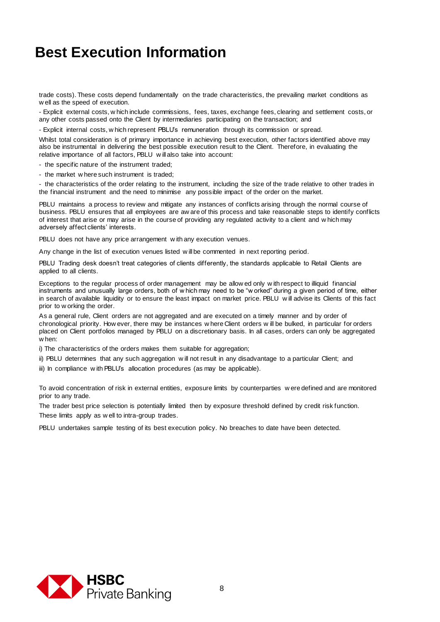trade costs). These costs depend fundamentally on the trade characteristics, the prevailing market conditions as w ell as the speed of execution.

- Explicit external costs, w hich include commissions, fees, taxes, exchange fees, clearing and settlement costs, or any other costs passed onto the Client by intermediaries participating on the transaction; and

- Explicit internal costs, w hich represent PBLU's remuneration through its commission or spread.

Whilst total consideration is of primary importance in achieving best execution, other factors identified above may also be instrumental in delivering the best possible execution result to the Client. Therefore, in evaluating the relative importance of all factors, PBLU w ill also take into account:

- the specific nature of the instrument traded;

- the market w here such instrument is traded;

- the characteristics of the order relating to the instrument, including the size of the trade relative to other trades in the financial instrument and the need to minimise any possible impact of the order on the market.

PBLU maintains a process to review and mitigate any instances of conflicts arising through the normal course of business. PBLU ensures that all employees are aw are of this process and take reasonable steps to identify conflicts of interest that arise or may arise in the course of providing any regulated activity to a client and w hich may adversely affect clients' interests.

PBLU does not have any price arrangement with any execution venues.

Any change in the list of execution venues listed w ill be commented in next reporting period.

PBLU Trading desk doesn't treat categories of clients differently, the standards applicable to Retail Clients are applied to all clients.

Exceptions to the regular process of order management may be allow ed only w ith respect to illiquid financial instruments and unusually large orders, both of w hich may need to be "w orked" during a given period of time, either in search of available liquidity or to ensure the least impact on market price. PBLU w ill advise its Clients of this fact prior to w orking the order.

As a general rule, Client orders are not aggregated and are executed on a timely manner and by order of chronological priority. How ever, there may be instances w here Client orders w ill be bulked, in particular for orders placed on Client portfolios managed by PBLU on a discretionary basis. In all cases, orders can only be aggregated w hen:

i) The characteristics of the orders makes them suitable for aggregation;

- ii) PBLU determines that any such aggregation w ill not result in any disadvantage to a particular Client; and
- iii) In compliance with PBLU's allocation procedures (as may be applicable).

To avoid concentration of risk in external entities, exposure limits by counterparties w ere defined and are monitored prior to any trade.

The trader best price selection is potentially limited then by exposure threshold defined by credit risk function. These limits apply as w ell to intra-group trades.

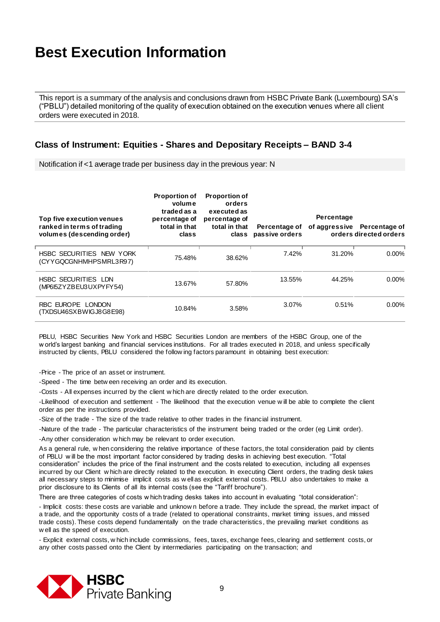This report is a summary of the analysis and conclusions drawn from HSBC Private Bank (Luxembourg) SA's ("PBLU") detailed monitoring of the quality of execution obtained on the execution venues where all client orders were executed in 2018.

#### **Class of Instrument: Equities - Shares and Depositary Receipts – BAND 3-4**

Notification if <1 average trade per business day in the previous year: N

| Top five execution venues<br>ranked in terms of trading<br>volumes (descending order) | <b>Proportion of</b><br>volume<br>traded as a<br>percentage of<br>total in that<br>class | <b>Proportion of</b><br>orders<br>executed as<br>percentage of<br>total in that<br>class | Percentage of<br>passive orders | Percentage | of aggressive Percentage of<br>orders directed orders |
|---------------------------------------------------------------------------------------|------------------------------------------------------------------------------------------|------------------------------------------------------------------------------------------|---------------------------------|------------|-------------------------------------------------------|
| HSBC SECURITIES NEW YORK<br>(CYYGQCGNHMHPSMRL3R97)                                    | 75.48%                                                                                   | 38.62%                                                                                   | 7.42%                           | 31.20%     | $0.00\%$                                              |
| <b>HSBC SECURITIES LDN</b><br>(MP615ZYZBEU3UXPYFY54)                                  | 13.67%                                                                                   | 57.80%                                                                                   | 13.55%                          | 44.25%     | $0.00\%$                                              |
| RBC EUROPE LONDON<br>(TXDSU46SXBWIGJ8G8E98)                                           | 10.84%                                                                                   | 3.58%                                                                                    | 3.07%                           | 0.51%      | $0.00\%$                                              |

PBLU, HSBC Securities New York and HSBC Securities London are members of the HSBC Group, one of the w orld's largest banking and financial services institutions. For all trades executed in 2018, and unless specifically instructed by clients, PBLU considered the follow ing factors paramount in obtaining best execution:

-Price - The price of an asset or instrument.

-Speed - The time betw een receiving an order and its execution.

-Costs - All expenses incurred by the client w hich are directly related to the order execution.

-Likelihood of execution and settlement - The likelihood that the execution venue w ill be able to complete the client order as per the instructions provided.

-Size of the trade - The size of the trade relative to other trades in the financial instrument.

-Nature of the trade - The particular characteristics of the instrument being traded or the order (eg Limit order).

-Any other consideration w hich may be relevant to order execution.

As a general rule, w hen considering the relative importance of these factors, the total consideration paid by clients of PBLU w ill be the most important factor considered by trading desks in achieving best execution. "Total consideration" includes the price of the final instrument and the costs related to execution, including all expenses incurred by our Client w hich are directly related to the execution. In executing Client orders, the trading desk takes all necessary steps to minimise implicit costs as w ell as explicit external costs. PBLU also undertakes to make a prior disclosure to its Clients of all its internal costs (see the "Tariff brochure").

There are three categories of costs w hich trading desks takes into account in evaluating "total consideration":

- Implicit costs: these costs are variable and unknow n before a trade. They include the spread, the market impact of a trade, and the opportunity costs of a trade (related to operational constraints, market timing issues, and missed trade costs). These costs depend fundamentally on the trade characteristics , the prevailing market conditions as w ell as the speed of execution.

- Explicit external costs, w hich include commissions, fees, taxes, exchange fees, clearing and settlement costs, or any other costs passed onto the Client by intermediaries participating on the transaction; and

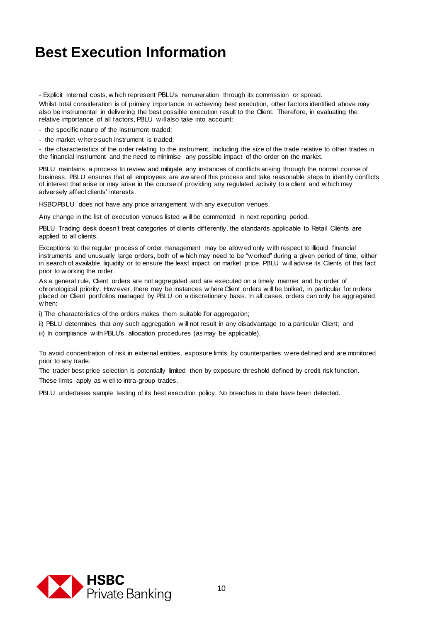- Explicit internal costs, w hich represent PBLU's remuneration through its commission or spread.

Whilst total consideration is of primary importance in achieving best execution, other factors identified above may also be instrumental in delivering the best possible execution result to the Client. Therefore, in evaluating the relative importance of all factors, PBLU w ill also take into account:

- the specific nature of the instrument traded;

- the market w here such instrument is traded;

- the characteristics of the order relating to the instrument, including the size of the trade relative to other trades in the financial instrument and the need to minimise any possible impact of the order on the market.

PBLU maintains a process to review and mitigate any instances of conflicts arising through the normal course of business. PBLU ensures that all employees are aw are of this process and take reasonable steps to identify conflicts of interest that arise or may arise in the course of providing any regulated activity to a client and w hich may adversely affect clients' interests.

HSBC/PBLU does not have any price arrangement w ith any execution venues.

Any change in the list of execution venues listed will be commented in next reporting period.

PBLU Trading desk doesn't treat categories of clients differently, the standards applicable to Retail Clients are applied to all clients.

Exceptions to the regular process of order management may be allow ed only w ith respect to illiquid financial instruments and unusually large orders, both of w hich may need to be "w orked" during a given period of time, either in search of available liquidity or to ensure the least impact on market price. PBLU w ill advise its Clients of this fact prior to w orking the order.

As a general rule, Client orders are not aggregated and are executed on a timely manner and by order of chronological priority. How ever, there may be instances w here Client orders w ill be bulked, in particular for orders placed on Client portfolios managed by PBLU on a discretionary basis. In all cases, orders can only be aggregated w hen:

i) The characteristics of the orders makes them suitable for aggregation;

ii) PBLU determines that any such aggregation w ill not result in any disadvantage to a particular Client; and

iii) In compliance with PBLU's allocation procedures (as may be applicable).

To avoid concentration of risk in external entities, exposure limits by counterparties w ere defined and are monitored prior to any trade.

The trader best price selection is potentially limited then by exposure threshold defined by credit risk function. These limits apply as w ell to intra-group trades.

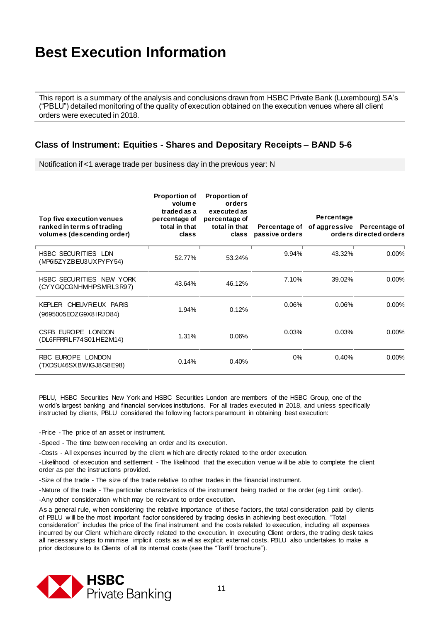This report is a summary of the analysis and conclusions drawn from HSBC Private Bank (Luxembourg) SA's ("PBLU") detailed monitoring of the quality of execution obtained on the execution venues where all client orders were executed in 2018.

#### **Class of Instrument: Equities - Shares and Depositary Receipts – BAND 5-6**

Notification if <1 average trade per business day in the previous year: N

| Top five execution venues<br>ranked in terms of trading<br>volumes (descending order) | <b>Proportion of</b><br>volume<br>traded as a<br>percentage of<br>total in that<br>class | <b>Proportion of</b><br>orders<br>executed as<br>percentage of<br>total in that<br>class | Percentage of<br>passive orders | Percentage | of aggressive Percentage of<br>orders directed orders |
|---------------------------------------------------------------------------------------|------------------------------------------------------------------------------------------|------------------------------------------------------------------------------------------|---------------------------------|------------|-------------------------------------------------------|
| <b>HSBC SECURITIES LDN</b><br>(MP615ZYZBEU3UXPYFY54)                                  | 52.77%                                                                                   | 53.24%                                                                                   | 9.94%                           | 43.32%     | $0.00\%$                                              |
| HSBC SECURITIES NEW YORK<br>(CYYGQCGNHMHPSMRL3R97)                                    | 43.64%                                                                                   | 46.12%                                                                                   | 7.10%                           | 39.02%     | $0.00\%$                                              |
| KEPLER CHEUVREUX PARIS<br>(9695005EOZG9X81RJD84)                                      | 1.94%                                                                                    | 0.12%                                                                                    | 0.06%                           | 0.06%      | $0.00\%$                                              |
| CSFB EUROPE LONDON<br>(DL6FFRRLF74S01HE2M14)                                          | 1.31%                                                                                    | 0.06%                                                                                    | 0.03%                           | 0.03%      | $0.00\%$                                              |
| RBC EUROPE LONDON<br>(TXDSU46SXBWIGJ8G8E98)                                           | 0.14%                                                                                    | 0.40%                                                                                    | 0%                              | 0.40%      | $0.00\%$                                              |

PBLU, HSBC Securities New York and HSBC Securities London are members of the HSBC Group, one of the w orld's largest banking and financial services institutions. For all trades executed in 2018, and unless specifically instructed by clients, PBLU considered the follow ing factors paramount in obtaining best execution:

-Price - The price of an asset or instrument.

-Speed - The time betw een receiving an order and its execution.

-Costs - All expenses incurred by the client w hich are directly related to the order execution.

-Likelihood of execution and settlement - The likelihood that the execution venue w ill be able to complete the client order as per the instructions provided.

-Size of the trade - The size of the trade relative to other trades in the financial instrument.

-Nature of the trade - The particular characteristics of the instrument being traded or the order (eg Limit order).

-Any other consideration w hich may be relevant to order execution.

As a general rule, w hen considering the relative importance of these factors, the total consideration paid by clients of PBLU w ill be the most important factor considered by trading desks in achieving best execution. "Total consideration" includes the price of the final instrument and the costs related to execution, including all expenses incurred by our Client w hich are directly related to the execution. In executing Client orders, the trading desk takes all necessary steps to minimise implicit costs as w ell as explicit external costs. PBLU also undertakes to make a prior disclosure to its Clients of all its internal costs (see the "Tariff brochure").

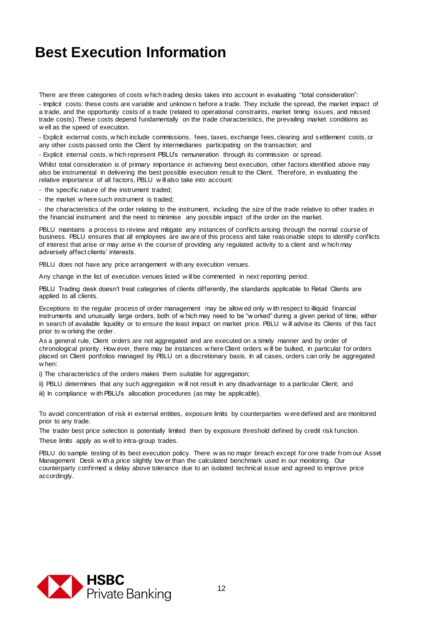There are three categories of costs w hich trading desks takes into account in evaluating "total consideration":

- Implicit costs: these costs are variable and unknow n before a trade. They include the spread, the market impact of a trade, and the opportunity costs of a trade (related to operational constraints, market timing issues, and missed trade costs). These costs depend fundamentally on the trade characteristics, the prevailing market conditions as w ell as the speed of execution.

- Explicit external costs, w hich include commissions, fees, taxes, exchange fees, clearing and s ettlement costs, or any other costs passed onto the Client by intermediaries participating on the transaction; and

- Explicit internal costs, w hich represent PBLU's remuneration through its commission or spread.

Whilst total consideration is of primary importance in achieving best execution, other factors identified above may also be instrumental in delivering the best possible execution result to the Client. Therefore, in evaluating the relative importance of all factors, PBLU w ill also take into account:

- the specific nature of the instrument traded;

- the market w here such instrument is traded;

- the characteristics of the order relating to the instrument, including the size of the trade relative to other trades in the financial instrument and the need to minimise any possible impact of the order on the market.

PBLU maintains a process to review and mitigate any instances of conflicts arising through the normal course of business. PBLU ensures that all employees are aw are of this process and take reasonable steps to identify conflicts of interest that arise or may arise in the course of providing any regulated activity to a client and w hich may adversely affect clients' interests.

PBLU does not have any price arrangement with any execution venues.

Any change in the list of execution venues listed w ill be commented in next reporting period.

PBLU Trading desk doesn't treat categories of clients differently, the standards applicable to Retail Clients are applied to all clients.

Exceptions to the regular process of order management may be allow ed only w ith respect to illiquid financial instruments and unusually large orders, both of w hich may need to be "w orked" during a given period of time, either in search of available liquidity or to ensure the least impact on market price. PBLU w ill advise its Clients of this fact prior to w orking the order.

As a general rule, Client orders are not aggregated and are executed on a timely manner and by order of chronological priority. How ever, there may be instances w here Client orders w ill be bulked, in particular for orders placed on Client portfolios managed by PBLU on a discretionary basis. In all cases, orders can only be aggregated w hen:

i) The characteristics of the orders makes them suitable for aggregation;

- ii) PBLU determines that any such aggregation w ill not result in any disadvantage to a particular Client; and
- iii) In compliance with PBLU's allocation procedures (as may be applicable).

To avoid concentration of risk in external entities, exposure limits by counterparties w ere defined and are monitored prior to any trade.

The trader best price selection is potentially limited then by exposure threshold defined by credit risk function. These limits apply as w ell to intra-group trades.

PBLU do sample testing of its best execution policy. There w as no major breach except for one trade from our Asset Management Desk w ith a price slightly low er than the calculated benchmark used in our monitoring. Our counterparty confirmed a delay above tolerance due to an isolated technical issue and agreed to improve price accordingly.

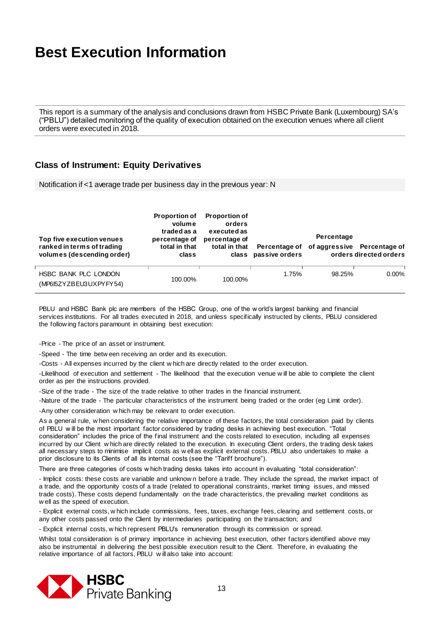This report is a summary of the analysis and conclusions drawn from HSBC Private Bank (Luxembourg) SA's ("PBLU") detailed monitoring of the quality of execution obtained on the execution venues where all client orders were executed in 2018.

#### **Class of Instrument: Equity Derivatives**

Notification if <1 average trade per business day in the previous year: N

| Top five execution venues<br>ranked in terms of trading<br>volumes (descending order) | <b>Proportion of</b><br>volume<br>traded as a<br>percentage of<br>total in that<br>class | <b>Proportion of</b><br>orders<br>executed as<br>percentage of<br>total in that | Percentage of<br>class passive orders | Percentage | of aggressive Percentage of<br>orders directed orders |
|---------------------------------------------------------------------------------------|------------------------------------------------------------------------------------------|---------------------------------------------------------------------------------|---------------------------------------|------------|-------------------------------------------------------|
| HSBC BANK PLC LONDON<br>(MP615ZYZBEU3UXPYFY54)                                        | 100.00%                                                                                  | 100.00%                                                                         | 1.75%                                 | 98.25%     | $0.00\%$                                              |

PBLU and HSBC Bank plc are members of the HSBC Group, one of the w orld's largest banking and financial services institutions. For all trades executed in 2018, and unless specifically instructed by clients, PBLU considered the follow ing factors paramount in obtaining best execution:

-Price - The price of an asset or instrument.

-Speed - The time betw een receiving an order and its execution.

-Costs - All expenses incurred by the client w hich are directly related to the order execution.

-Likelihood of execution and settlement - The likelihood that the execution venue w ill be able to complete the client order as per the instructions provided.

-Size of the trade - The size of the trade relative to other trades in the financial instrument.

-Nature of the trade - The particular characteristics of the instrument being traded or the order (eg Limit order).

-Any other consideration w hich may be relevant to order execution.

As a general rule, w hen considering the relative importance of these factors, the total consideration paid by clients of PBLU w ill be the most important factor considered by trading desks in achieving best execution. "Total consideration" includes the price of the final instrument and the costs related to execution, including all expenses incurred by our Client w hich are directly related to the execution. In executing Client orders, the trading desk takes all necessary steps to minimise implicit costs as w ell as explicit external costs. PBLU also undertakes to make a prior disclosure to its Clients of all its internal costs (see the "Tariff brochure").

There are three categories of costs w hich trading desks takes into account in evaluating "total consideration":

- Implicit costs: these costs are variable and unknow n before a trade. They include the spread, the market impact of a trade, and the opportunity costs of a trade (related to operational constraints, market timing issues, and missed trade costs). These costs depend fundamentally on the trade characteristics, the prevailing market conditions as w ell as the speed of execution.

- Explicit external costs, w hich include commissions, fees, taxes, exchange fees, clearing and settlement costs, or any other costs passed onto the Client by intermediaries participating on the transaction; and

- Explicit internal costs, w hich represent PBLU's remuneration through its commission or spread.

Whilst total consideration is of primary importance in achieving best execution, other factors identified above may also be instrumental in delivering the best possible execution result to the Client. Therefore, in evaluating the relative importance of all factors, PBLU w ill also take into account:

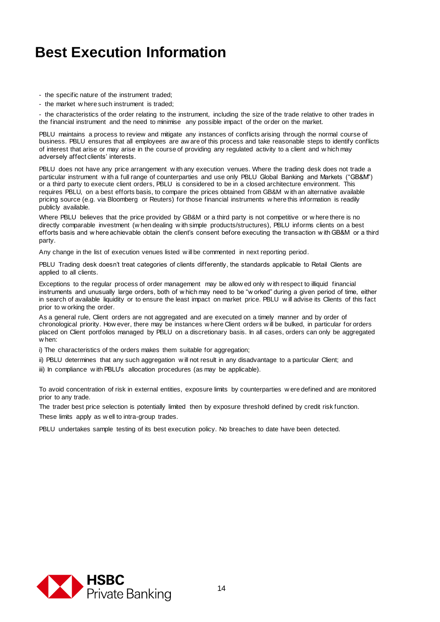- the specific nature of the instrument traded;
- the market w here such instrument is traded;

- the characteristics of the order relating to the instrument, including the size of the trade relative to other trades in the financial instrument and the need to minimise any possible impact of the order on the market.

PBLU maintains a process to review and mitigate any instances of conflicts arising through the normal course of business. PBLU ensures that all employees are aw are of this process and take reasonable steps to identify conflicts of interest that arise or may arise in the course of providing any regulated activity to a client and w hich may adversely affect clients' interests.

PBLU does not have any price arrangement w ith any execution venues. Where the trading desk does not trade a particular instrument w ith a full range of counterparties and use only PBLU Global Banking and Markets ("GB&M") or a third party to execute client orders, PBLU is considered to be in a closed architecture environment. This requires PBLU, on a best efforts basis, to compare the prices obtained from GB&M w ith an alternative available pricing source (e.g. via Bloomberg or Reuters) for those financial instruments w here this information is readily publicly available.

Where PBLU believes that the price provided by GB&M or a third party is not competitive or w here there is no directly comparable investment (w hen dealing w ith simple products/structures), PBLU informs clients on a best efforts basis and w here achievable obtain the client's consent before executing the transaction w ith GB&M or a third party.

Any change in the list of execution venues listed w ill be commented in next reporting period.

PBLU Trading desk doesn't treat categories of clients differently, the standards applicable to Retail Clients are applied to all clients.

Exceptions to the regular process of order management may be allow ed only w ith respect to illiquid financial instruments and unusually large orders, both of w hich may need to be "w orked" during a given period of time, either in search of available liquidity or to ensure the least impact on market price. PBLU w ill advise its Clients of this fact prior to w orking the order.

As a general rule, Client orders are not aggregated and are executed on a timely manner and by order of chronological priority. How ever, there may be instances w here Client orders w ill be bulked, in particular for orders placed on Client portfolios managed by PBLU on a discretionary basis. In all cases, orders can only be aggregated w hen:

i) The characteristics of the orders makes them suitable for aggregation;

- ii) PBLU determines that any such aggregation w ill not result in any disadvantage to a particular Client; and
- iii) In compliance with PBLU's allocation procedures (as may be applicable).

To avoid concentration of risk in external entities, exposure limits by counterparties w ere defined and are monitored prior to any trade.

The trader best price selection is potentially limited then by exposure threshold defined by credit risk function. These limits apply as w ell to intra-group trades.

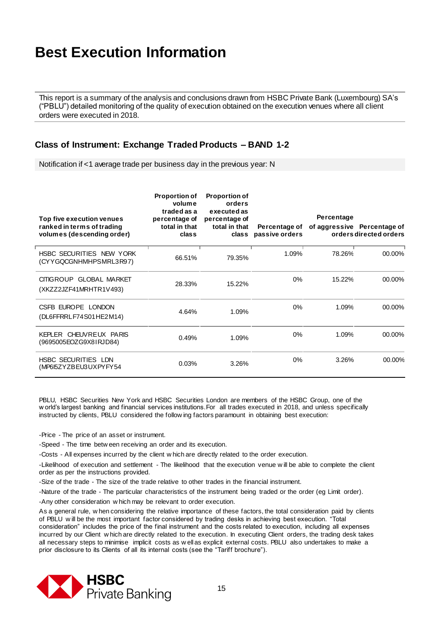This report is a summary of the analysis and conclusions drawn from HSBC Private Bank (Luxembourg) SA's ("PBLU") detailed monitoring of the quality of execution obtained on the execution venues where all client orders were executed in 2018.

#### **Class of Instrument: Exchange Traded Products – BAND 1-2**

Notification if <1 average trade per business day in the previous year: N

| Top five execution venues<br>ranked in terms of trading<br>volumes (descending order) | <b>Proportion of</b><br>volume<br>traded as a<br>percentage of<br>total in that<br>class | <b>Proportion of</b><br>orders<br>executed as<br>percentage of<br>total in that<br>class | Percentage of<br>passive orders | Percentage | of aggressive Percentage of<br>orders directed orders |
|---------------------------------------------------------------------------------------|------------------------------------------------------------------------------------------|------------------------------------------------------------------------------------------|---------------------------------|------------|-------------------------------------------------------|
| HSBC SECURITIES NEW YORK<br>(CYYGQCGNHMHPSMRL3R97)                                    | 66.51%                                                                                   | 79.35%                                                                                   | 1.09%                           | 78.26%     | 00.00%                                                |
| CITIGROUP GLOBAL MARKET<br>(XKZZ2JZF41MRHTR1V493)                                     | 28.33%                                                                                   | 15.22%                                                                                   | 0%                              | 15.22%     | 00.00%                                                |
| CSFB EUROPE LONDON<br>(DL6FFRRLF74S01HE2M14)                                          | 4.64%                                                                                    | 1.09%                                                                                    | $0\%$                           | 1.09%      | 00.00%                                                |
| KEPLER CHEUVREUX PARIS<br>(9695005EOZG9X81RJD84)                                      | 0.49%                                                                                    | 1.09%                                                                                    | $0\%$                           | 1.09%      | 00.00%                                                |
| <b>HSBC SECURITIES LDN</b><br>(MP6I5ZYZBEU3UXPYFY54                                   | 0.03%                                                                                    | 3.26%                                                                                    | $0\%$                           | 3.26%      | 00.00%                                                |

PBLU, HSBC Securities New York and HSBC Securities London are members of the HSBC Group, one of the w orld's largest banking and financial services institutions.For all trades executed in 2018, and unless specifically instructed by clients, PBLU considered the follow ing factors paramount in obtaining best execution:

-Price - The price of an asset or instrument.

-Speed - The time betw een receiving an order and its execution.

-Costs - All expenses incurred by the client w hich are directly related to the order execution.

-Likelihood of execution and settlement - The likelihood that the execution venue w ill be able to complete the client order as per the instructions provided.

-Size of the trade - The size of the trade relative to other trades in the financial instrument.

-Nature of the trade - The particular characteristics of the instrument being traded or the order (eg Limit order).

-Any other consideration w hich may be relevant to order execution.

As a general rule, w hen considering the relative importance of these factors, the total consideration paid by clients of PBLU w ill be the most important factor considered by trading desks in achieving best execution. "Total consideration" includes the price of the final instrument and the costs related to execution, including all expenses incurred by our Client w hich are directly related to the execution. In executing Client orders, the trading desk takes all necessary steps to minimise implicit costs as w ell as explicit external costs. PBLU also undertakes to make a prior disclosure to its Clients of all its internal costs (see the "Tariff brochure").

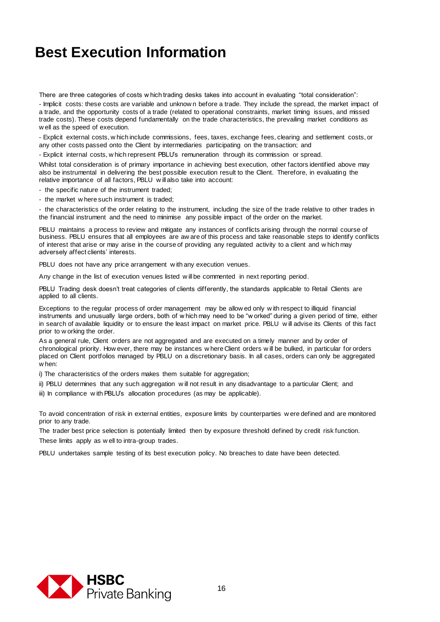There are three categories of costs w hich trading desks takes into account in evaluating "total consideration":

- Implicit costs: these costs are variable and unknow n before a trade. They include the spread, the market impact of a trade, and the opportunity costs of a trade (related to operational constraints, market timing issues, and missed trade costs). These costs depend fundamentally on the trade characteristics, the prevailing market conditions as w ell as the speed of execution.

- Explicit external costs, w hich include commissions, fees, taxes, exchange fees, clearing and settlement costs, or any other costs passed onto the Client by intermediaries participating on the transaction; and

- Explicit internal costs, w hich represent PBLU's remuneration through its commission or spread.

Whilst total consideration is of primary importance in achieving best execution, other factors identified above may also be instrumental in delivering the best possible execution result to the Client. Therefore, in evaluating the relative importance of all factors, PBLU w ill also take into account:

- the specific nature of the instrument traded;

- the market w here such instrument is traded;

- the characteristics of the order relating to the instrument, including the size of the trade relative to other trades in the financial instrument and the need to minimise any possible impact of the order on the market.

PBLU maintains a process to review and mitigate any instances of conflicts arising through the normal course of business. PBLU ensures that all employees are aw are of this process and take reasonable steps to identify conflicts of interest that arise or may arise in the course of providing any regulated activity to a client and w hich may adversely affect clients' interests.

PBLU does not have any price arrangement with any execution venues.

Any change in the list of execution venues listed w ill be commented in next reporting period.

PBLU Trading desk doesn't treat categories of clients differently, the standards applicable to Retail Clients are applied to all clients.

Exceptions to the regular process of order management may be allow ed only w ith respect to illiquid financial instruments and unusually large orders, both of w hich may need to be "w orked" during a given period of time, either in search of available liquidity or to ensure the least impact on market price. PBLU w ill advise its Clients of this fact prior to w orking the order.

As a general rule, Client orders are not aggregated and are executed on a timely manner and by order of chronological priority. How ever, there may be instances w here Client orders w ill be bulked, in particular for orders placed on Client portfolios managed by PBLU on a discretionary basis. In all cases, orders can only be aggregated w hen:

i) The characteristics of the orders makes them suitable for aggregation;

ii) PBLU determines that any such aggregation w ill not result in any disadvantage to a particular Client; and

iii) In compliance with PBLU's allocation procedures (as may be applicable).

To avoid concentration of risk in external entities, exposure limits by counterparties w ere defined and are monitored prior to any trade.

The trader best price selection is potentially limited then by exposure threshold defined by credit risk function. These limits apply as w ell to intra-group trades.

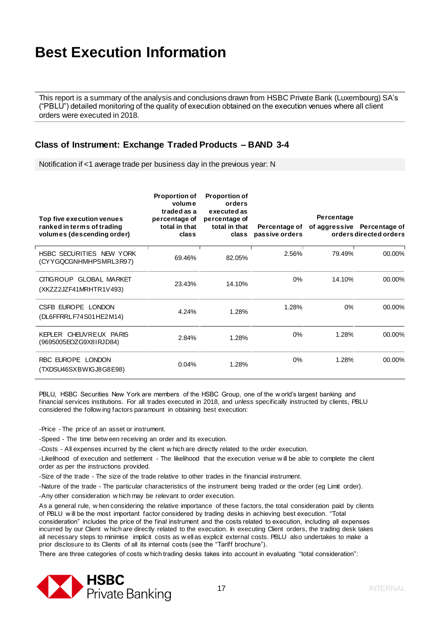This report is a summary of the analysis and conclusions drawn from HSBC Private Bank (Luxembourg) SA's ("PBLU") detailed monitoring of the quality of execution obtained on the execution venues where all client orders were executed in 2018.

#### **Class of Instrument: Exchange Traded Products – BAND 3-4**

Notification if <1 average trade per business day in the previous year: N

| Top five execution venues<br>ranked in terms of trading<br>volumes (descending order) | <b>Proportion of</b><br>volume<br>traded as a<br>percentage of<br>total in that<br>class | <b>Proportion of</b><br>orders<br>executed as<br>percentage of<br>total in that<br>class | Percentage of<br>passive orders | Percentage | of aggressive Percentage of<br>orders directed orders |
|---------------------------------------------------------------------------------------|------------------------------------------------------------------------------------------|------------------------------------------------------------------------------------------|---------------------------------|------------|-------------------------------------------------------|
| HSBC SECURITIES NEW YORK<br>(CYYGQCGNHMHPSMRL3R97)                                    | 69.46%                                                                                   | 82.05%                                                                                   | 2.56%                           | 79.49%     | 00.00%                                                |
| CITIGROUP GLOBAL MARKET<br>(XKZZ2JZF41MRHTR1V493)                                     | 23.43%                                                                                   | 14.10%                                                                                   | 0%                              | 14.10%     | 00.00%                                                |
| CSFB EUROPE LONDON<br>(DL6FFRRLF74S01HE2M14)                                          | 4.24%                                                                                    | 1.28%                                                                                    | 1.28%                           | 0%         | 00.00%                                                |
| KEPLER CHEUVREUX PARIS<br>(9695005EOZG9X81RJD84)                                      | 2.84%                                                                                    | 1.28%                                                                                    | 0%                              | 1.28%      | 00.00%                                                |
| RBC EUROPE LONDON<br>(TXDSU46SXBWIGJ8G8E98)                                           | 0.04%                                                                                    | 1.28%                                                                                    | 0%                              | 1.28%      | 00.00%                                                |

PBLU, HSBC Securities New York are members of the HSBC Group, one of the w orld's largest banking and financial services institutions. For all trades executed in 2018, and unless specifically instructed by clients, PBLU considered the follow ing factors paramount in obtaining best execution:

-Price - The price of an asset or instrument.

-Speed - The time betw een receiving an order and its execution.

-Costs - All expenses incurred by the client w hich are directly related to the order execution.

-Likelihood of execution and settlement - The likelihood that the execution venue w ill be able to complete the client order as per the instructions provided.

-Size of the trade - The size of the trade relative to other trades in the financial instrument.

-Nature of the trade - The particular characteristics of the instrument being traded or the order (eg Limit order).

-Any other consideration w hich may be relevant to order execution.

As a general rule, w hen considering the relative importance of these factors, the total consideration paid by clients of PBLU w ill be the most important factor considered by trading desks in achieving best execution. "Total consideration" includes the price of the final instrument and the costs related to execution, including all expenses incurred by our Client w hich are directly related to the execution. In executing Client orders, the trading desk takes all necessary steps to minimise implicit costs as w ell as explicit external costs. PBLU also undertakes to make a prior disclosure to its Clients of all its internal costs (see the "Tariff brochure").

There are three categories of costs w hich trading desks takes into account in evaluating "total consideration":

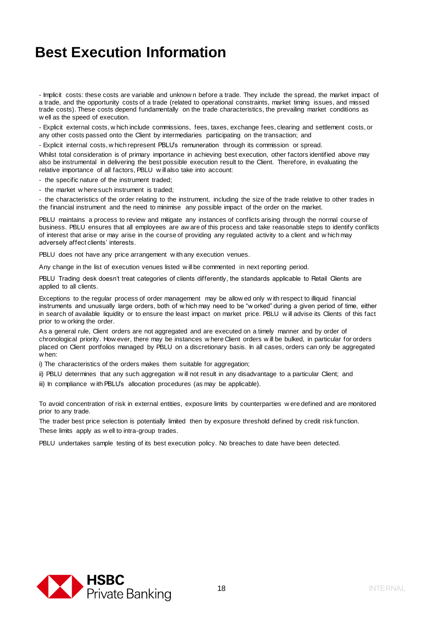- Implicit costs: these costs are variable and unknow n before a trade. They include the spread, the market impact of a trade, and the opportunity costs of a trade (related to operational constraints, market timing issues, and missed trade costs). These costs depend fundamentally on the trade characteristics, the prevailing market conditions as w ell as the speed of execution.

- Explicit external costs, w hich include commissions, fees, taxes, exchange fees, clearing and settlement costs, or any other costs passed onto the Client by intermediaries participating on the transaction; and

- Explicit internal costs, w hich represent PBLU's remuneration through its commission or spread.

Whilst total consideration is of primary importance in achieving best execution, other factors identified above may also be instrumental in delivering the best possible execution result to the Client. Therefore, in evaluating the relative importance of all factors, PBLU w ill also take into account:

- the specific nature of the instrument traded;

- the market w here such instrument is traded;

- the characteristics of the order relating to the instrument, including the size of the trade relative to other trades in the financial instrument and the need to minimise any possible impact of the order on the market.

PBLU maintains a process to review and mitigate any instances of conflicts arising through the normal course of business. PBLU ensures that all employees are aw are of this process and take reasonable steps to identify conflicts of interest that arise or may arise in the course of providing any regulated activity to a client and w hich may adversely affect clients' interests.

PBLU does not have any price arrangement with any execution venues.

Any change in the list of execution venues listed w ill be commented in next reporting period.

PBLU Trading desk doesn't treat categories of clients differently, the standards applicable to Retail Clients are applied to all clients.

Exceptions to the regular process of order management may be allow ed only w ith respect to illiquid financial instruments and unusually large orders, both of w hich may need to be "w orked" during a given period of time, either in search of available liquidity or to ensure the least impact on market price. PBLU w ill advise its Clients of this fact prior to w orking the order.

As a general rule, Client orders are not aggregated and are executed on a timely manner and by order of chronological priority. How ever, there may be instances w here Client orders w ill be bulked, in particular for orders placed on Client portfolios managed by PBLU on a discretionary basis. In all cases, orders can only be aggregated w hen:

i) The characteristics of the orders makes them suitable for aggregation;

ii) PBLU determines that any such aggregation w ill not result in any disadvantage to a particular Client; and

iii) In compliance with PBLU's allocation procedures (as may be applicable).

To avoid concentration of risk in external entities, exposure limits by counterparties w ere defined and are monitored prior to any trade.

The trader best price selection is potentially limited then by exposure threshold defined by credit risk function. These limits apply as w ell to intra-group trades.

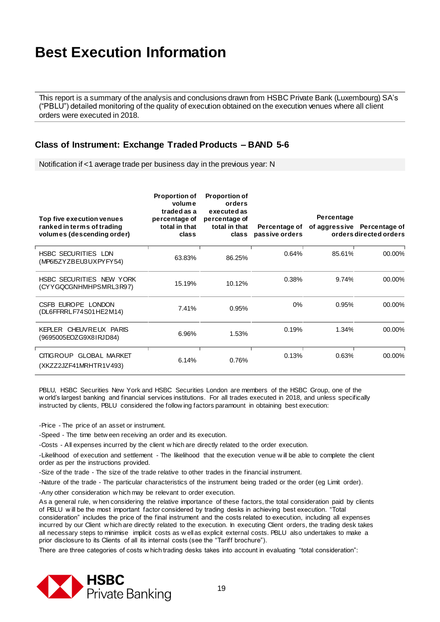This report is a summary of the analysis and conclusions drawn from HSBC Private Bank (Luxembourg) SA's ("PBLU") detailed monitoring of the quality of execution obtained on the execution venues where all client orders were executed in 2018.

#### **Class of Instrument: Exchange Traded Products – BAND 5-6**

Notification if <1 average trade per business day in the previous year: N

| Top five execution venues<br>ranked in terms of trading<br>volumes (descending order) | <b>Proportion of</b><br>volume<br>traded as a<br>percentage of<br>total in that<br>class | <b>Proportion of</b><br>orders<br>executed as<br>percentage of<br>total in that<br>class | Percentage of<br>passive orders | Percentage | of aggressive Percentage of<br>orders directed orders |
|---------------------------------------------------------------------------------------|------------------------------------------------------------------------------------------|------------------------------------------------------------------------------------------|---------------------------------|------------|-------------------------------------------------------|
| HSBC SECURITIES LDN<br>(MP615ZYZBEU3UXPYFY54)                                         | 63.83%                                                                                   | 86.25%                                                                                   | 0.64%                           | 85.61%     | 00.00%                                                |
| HSBC SECURITIES NEW YORK<br>(CYYGQCGNHMHPSMRL3R97)                                    | 15.19%                                                                                   | 10.12%                                                                                   | 0.38%                           | 9.74%      | 00.00%                                                |
| CSFB EUROPE LONDON<br>(DL6FFRRLF74S01HE2M14)                                          | 7.41%                                                                                    | 0.95%                                                                                    | 0%                              | 0.95%      | 00.00%                                                |
| KEPLER CHEUVREUX PARIS<br>(9695005EOZG9X81RJD84)                                      | 6.96%                                                                                    | 1.53%                                                                                    | 0.19%                           | 1.34%      | 00.00%                                                |
| <b>CITIGROUP</b><br><b>GLOBAL MARKET</b><br>(XKZZ2JZF41MRHTR1V493)                    | 6.14%                                                                                    | 0.76%                                                                                    | 0.13%                           | 0.63%      | 00.00%                                                |

PBLU, HSBC Securities New York and HSBC Securities London are members of the HSBC Group, one of the w orld's largest banking and financial services institutions. For all trades executed in 2018, and unless specifically instructed by clients, PBLU considered the follow ing factors paramount in obtaining best execution:

-Price - The price of an asset or instrument.

-Speed - The time betw een receiving an order and its execution.

-Costs - All expenses incurred by the client w hich are directly related to the order execution.

-Likelihood of execution and settlement - The likelihood that the execution venue w ill be able to complete the client order as per the instructions provided.

-Size of the trade - The size of the trade relative to other trades in the financial instrument.

-Nature of the trade - The particular characteristics of the instrument being traded or the order (eg Limit order).

-Any other consideration w hich may be relevant to order execution.

As a general rule, w hen considering the relative importance of these factors, the total consideration paid by clients of PBLU w ill be the most important factor considered by trading desks in achieving best execution. "Total consideration" includes the price of the final instrument and the costs related to execution, including all expenses incurred by our Client w hich are directly related to the execution. In executing Client orders, the trading desk takes all necessary steps to minimise implicit costs as w ell as explicit external costs. PBLU also undertakes to make a prior disclosure to its Clients of all its internal costs (see the "Tariff brochure").

There are three categories of costs w hich trading desks takes into account in evaluating "total consideration":

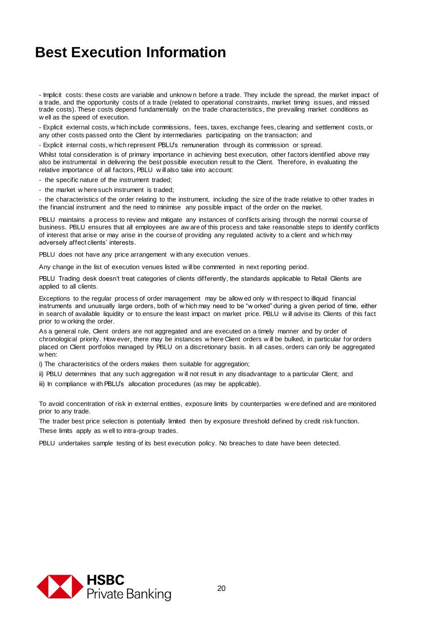- Implicit costs: these costs are variable and unknow n before a trade. They include the spread, the market impact of a trade, and the opportunity costs of a trade (related to operational constraints, market timing issues, and missed trade costs). These costs depend fundamentally on the trade characteristics , the prevailing market conditions as w ell as the speed of execution.

- Explicit external costs, w hich include commissions, fees, taxes, exchange fees, clearing and settlement costs, or any other costs passed onto the Client by intermediaries participating on the transaction; and

- Explicit internal costs, w hich represent PBLU's remuneration through its commission or spread.

Whilst total consideration is of primary importance in achieving best execution, other factors identified above may also be instrumental in delivering the best possible execution result to the Client. Therefore, in evaluating the relative importance of all factors, PBLU w ill also take into account:

- the specific nature of the instrument traded;

- the market w here such instrument is traded;

- the characteristics of the order relating to the instrument, including the size of the trade relative to other trades in the financial instrument and the need to minimise any possible impact of the order on the market.

PBLU maintains a process to review and mitigate any instances of conflicts arising through the normal course of business. PBLU ensures that all employees are aw are of this process and take reasonable steps to identify conflicts of interest that arise or may arise in the course of providing any regulated activity to a client and w hich may adversely affect clients' interests.

PBLU does not have any price arrangement with any execution venues.

Any change in the list of execution venues listed w ill be commented in next reporting period.

PBLU Trading desk doesn't treat categories of clients differently, the standards applicable to Retail Clients are applied to all clients.

Exceptions to the regular process of order management may be allow ed only w ith respect to illiquid financial instruments and unusually large orders, both of w hich may need to be "w orked" during a given period of time, either in search of available liquidity or to ensure the least impact on market price. PBLU w ill advise its Clients of this fact prior to w orking the order.

As a general rule, Client orders are not aggregated and are executed on a timely manner and by order of chronological priority. How ever, there may be instances w here Client orders w ill be bulked, in particular for orders placed on Client portfolios managed by PBLU on a discretionary basis. In all cases, orders can only be aggregated w hen:

i) The characteristics of the orders makes them suitable for aggregation;

ii) PBLU determines that any such aggregation w ill not result in any disadvantage to a particular Client; and

iii) In compliance with PBLU's allocation procedures (as may be applicable).

To avoid concentration of risk in external entities, exposure limits by counterparties w ere defined and are monitored prior to any trade.

The trader best price selection is potentially limited then by exposure threshold defined by credit risk function. These limits apply as w ell to intra-group trades.

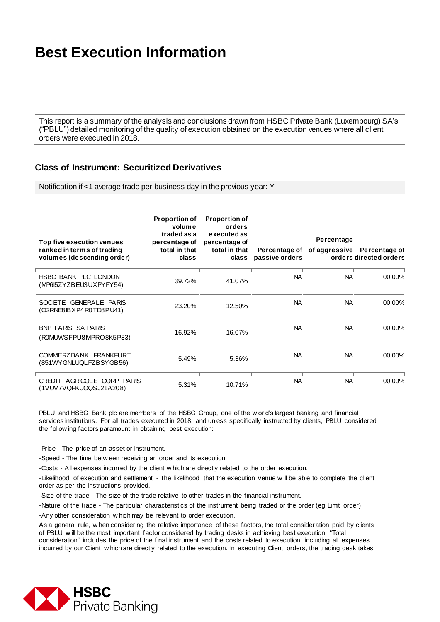This report is a summary of the analysis and conclusions drawn from HSBC Private Bank (Luxembourg) SA's ("PBLU") detailed monitoring of the quality of execution obtained on the execution venues where all client orders were executed in 2018.

#### **Class of Instrument: Securitized Derivatives**

Notification if <1 average trade per business day in the previous year: Y

| Top five execution venues<br>ranked in terms of trading<br>volumes (descending order) | <b>Proportion of</b><br>volume<br>traded as a<br>percentage of<br>total in that<br>class | <b>Proportion of</b><br>orders<br>executed as<br>percentage of<br>total in that<br>class | Percentage of<br>passive orders | Percentage | of aggressive Percentage of<br>orders directed orders |
|---------------------------------------------------------------------------------------|------------------------------------------------------------------------------------------|------------------------------------------------------------------------------------------|---------------------------------|------------|-------------------------------------------------------|
| HSBC BANK PLC LONDON<br>(MP6I5ZYZBEU3UXPYFY54)                                        | 39.72%                                                                                   | 41.07%                                                                                   | <b>NA</b>                       | <b>NA</b>  | 00.00%                                                |
| SOCIETE GENERALE PARIS<br>$(O2RNE8$ $BXP4$ $ROTD8$ $PU41$ )                           | 23.20%                                                                                   | 12.50%                                                                                   | NA.                             | NA.        | 00.00%                                                |
| BNP PARIS SA PARIS<br>(ROMUWSFPU8MPRO8K5P83)                                          | 16.92%                                                                                   | 16.07%                                                                                   | <b>NA</b>                       | NA         | 00.00%                                                |
| COMMERZBANK FRANKFURT<br>(851WYGNLUQLFZBSYGB56)                                       | 5.49%                                                                                    | 5.36%                                                                                    | <b>NA</b>                       | <b>NA</b>  | 00.00%                                                |
| CREDIT AGRICOLE CORP PARIS<br>(1VUV7VQFKUOQSJ21A208)                                  | 5.31%                                                                                    | 10.71%                                                                                   | <b>NA</b>                       | <b>NA</b>  | 00.00%                                                |

PBLU and HSBC Bank plc are members of the HSBC Group, one of the w orld's largest banking and financial services institutions. For all trades executed in 2018, and unless specifically instructed by clients, PBLU considered the follow ing factors paramount in obtaining best execution:

-Price - The price of an asset or instrument.

-Speed - The time betw een receiving an order and its execution.

-Costs - All expenses incurred by the client w hich are directly related to the order execution.

-Likelihood of execution and settlement - The likelihood that the execution venue w ill be able to complete the client order as per the instructions provided.

-Size of the trade - The size of the trade relative to other trades in the financial instrument.

-Nature of the trade - The particular characteristics of the instrument being traded or the order (eg Limit order).

-Any other consideration w hich may be relevant to order execution.

As a general rule, w hen considering the relative importance of these factors, the total consideration paid by clients of PBLU w ill be the most important factor considered by trading desks in achieving best execution. "Total consideration" includes the price of the final instrument and the costs related to execution, including all expenses incurred by our Client w hich are directly related to the execution. In executing Client orders, the trading desk takes

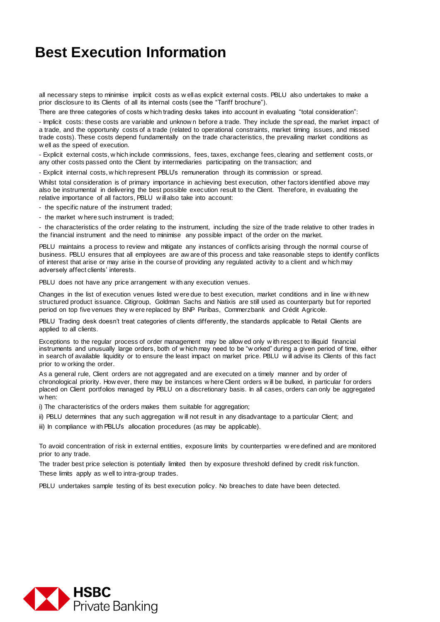all necessary steps to minimise implicit costs as w ell as explicit external costs. PBLU also undertakes to make a prior disclosure to its Clients of all its internal costs (see the "Tariff brochure").

There are three categories of costs w hich trading desks takes into account in evaluating "total consideration":

- Implicit costs: these costs are variable and unknow n before a trade. They include the spread, the market impact of a trade, and the opportunity costs of a trade (related to operational constraints, market timing issues, and missed trade costs). These costs depend fundamentally on the trade characteristics, the prevailing market conditions as w ell as the speed of execution.

- Explicit external costs, w hich include commissions, fees, taxes, exchange fees, clearing and settlement costs, or any other costs passed onto the Client by intermediaries participating on the transaction; and

- Explicit internal costs, w hich represent PBLU's remuneration through its commission or spread.

Whilst total consideration is of primary importance in achieving best execution, other factors identified above may also be instrumental in delivering the best possible execution result to the Client. Therefore, in evaluating the relative importance of all factors, PBLU w ill also take into account:

- the specific nature of the instrument traded;

- the market w here such instrument is traded;

- the characteristics of the order relating to the instrument, including the size of the trade relative to other trades in the financial instrument and the need to minimise any possible impact of the order on the market.

PBLU maintains a process to review and mitigate any instances of conflicts arising through the normal course of business. PBLU ensures that all employees are aw are of this process and take reasonable steps to identify conflicts of interest that arise or may arise in the course of providing any regulated activity to a client and w hich may adversely affect clients' interests.

PBLU does not have any price arrangement with any execution venues.

Changes in the list of execution venues listed w ere due to best execution, market conditions and in line w ith new structured product issuance. Citigroup, Goldman Sachs and Natixis are still used as counterparty but for reported period on top five venues they w ere replaced by BNP Paribas, Commerzbank and Crédit Agricole.

PBLU Trading desk doesn't treat categories of clients differently, the standards applicable to Retail Clients are applied to all clients.

Exceptions to the regular process of order management may be allow ed only w ith respect to illiquid financial instruments and unusually large orders, both of w hich may need to be "w orked" during a given period of time, either in search of available liquidity or to ensure the least impact on market price. PBLU w ill advise its Clients of this fact prior to w orking the order.

As a general rule, Client orders are not aggregated and are executed on a timely manner and by order of chronological priority. How ever, there may be instances w here Client orders w ill be bulked, in particular for orders placed on Client portfolios managed by PBLU on a discretionary basis. In all cases, orders can only be aggregated w hen:

i) The characteristics of the orders makes them suitable for aggregation;

ii) PBLU determines that any such aggregation w ill not result in any disadvantage to a particular Client; and

iii) In compliance with PBLU's allocation procedures (as may be applicable).

To avoid concentration of risk in external entities, exposure limits by counterparties w ere defined and are monitored prior to any trade.

The trader best price selection is potentially limited then by exposure threshold defined by credit risk function. These limits apply as w ell to intra-group trades.

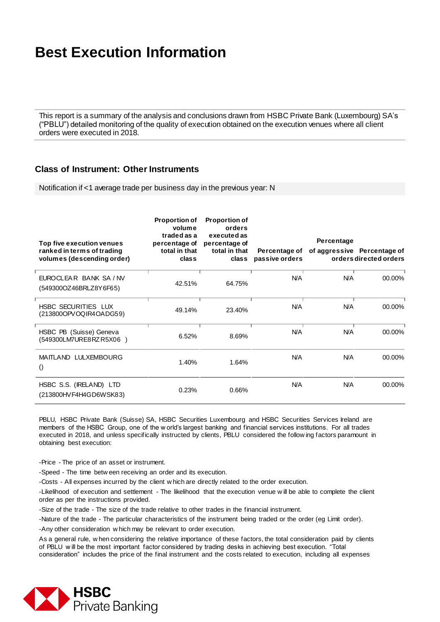This report is a summary of the analysis and conclusions drawn from HSBC Private Bank (Luxembourg) SA's ("PBLU") detailed monitoring of the quality of execution obtained on the execution venues where all client orders were executed in 2018.

#### **Class of Instrument: Other Instruments**

Notification if <1 average trade per business day in the previous year: N

| Top five execution venues<br>ranked in terms of trading<br>volumes (descending order) | <b>Proportion of</b><br>volume<br>traded as a<br>percentage of<br>total in that<br>class | <b>Proportion of</b><br>orders<br>executed as<br>percentage of<br>total in that<br>class | Percentage of<br>passive orders | Percentage | of aggressive Percentage of<br>orders directed orders |
|---------------------------------------------------------------------------------------|------------------------------------------------------------------------------------------|------------------------------------------------------------------------------------------|---------------------------------|------------|-------------------------------------------------------|
| EUROCLEAR BANK SA / NV<br>(549300OZ46BRLZ8Y6F65)                                      | 42.51%                                                                                   | 64.75%                                                                                   | <b>N/A</b>                      | N/A        | 00.00%                                                |
| <b>HSBC SECURITIES LUX</b><br>(213800OPVOQIR4OADG59)                                  | 49.14%                                                                                   | 23.40%                                                                                   | <b>N/A</b>                      | <b>N/A</b> | 00.00%                                                |
| HSBC PB (Suisse) Geneva<br>(549300LM7URE8RZR5X06)                                     | 6.52%                                                                                    | 8.69%                                                                                    | <b>N/A</b>                      | <b>N/A</b> | 00.00%                                                |
| <b>MAITLAND LULXEMBOURG</b><br>$\left( \right)$                                       | 1.40%                                                                                    | 1.64%                                                                                    | <b>N/A</b>                      | <b>N/A</b> | 00.00%                                                |
| HSBC S.S. (IRELAND) LTD<br>(213800HVF4H4GD6WSK83)                                     | 0.23%                                                                                    | 0.66%                                                                                    | <b>N/A</b>                      | <b>N/A</b> | 00.00%                                                |

PBLU, HSBC Private Bank (Suisse) SA, HSBC Securities Luxembourg and HSBC Securities Services Ireland are members of the HSBC Group, one of the w orld's largest banking and financial services institutions. For all trades executed in 2018, and unless specifically instructed by clients, PBLU considered the follow ing factors paramount in obtaining best execution:

-Price - The price of an asset or instrument.

-Speed - The time betw een receiving an order and its execution.

-Costs - All expenses incurred by the client w hich are directly related to the order execution.

-Likelihood of execution and settlement - The likelihood that the execution venue w ill be able to complete the client order as per the instructions provided.

-Size of the trade - The size of the trade relative to other trades in the financial instrument.

-Nature of the trade - The particular characteristics of the instrument being traded or the order (eg Limit order).

-Any other consideration w hich may be relevant to order execution.

As a general rule, w hen considering the relative importance of these factors, the total consideration paid by clients of PBLU w ill be the most important factor considered by trading desks in achieving best execution. "Total consideration" includes the price of the final instrument and the costs related to execution, including all expenses

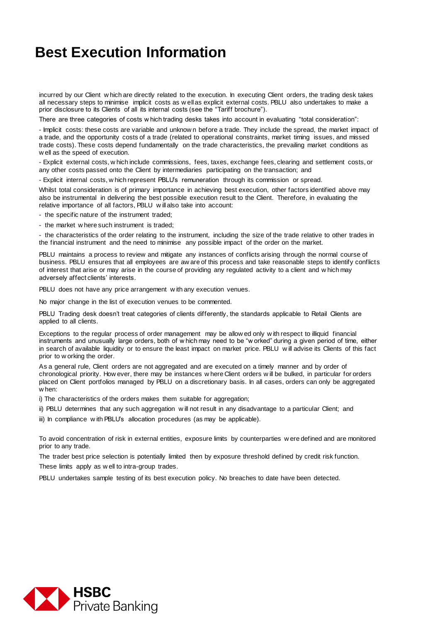incurred by our Client w hich are directly related to the execution. In executing Client orders, the trading desk takes all necessary steps to minimise implicit costs as w ell as explicit external costs. PBLU also undertakes to make a prior disclosure to its Clients of all its internal costs (see the "Tariff brochure").

There are three categories of costs w hich trading desks takes into account in evaluating "total consideration":

- Implicit costs: these costs are variable and unknow n before a trade. They include the spread, the market impact of a trade, and the opportunity costs of a trade (related to operational constraints, market timing issues, and missed trade costs). These costs depend fundamentally on the trade characteristics, the prevailing market conditions as w ell as the speed of execution.

- Explicit external costs, w hich include commissions, fees, taxes, exchange fees, clearing and settlement costs, or any other costs passed onto the Client by intermediaries participating on the transaction; and

- Explicit internal costs, w hich represent PBLU's remuneration through its commission or spread.

Whilst total consideration is of primary importance in achieving best execution, other factors identified above may also be instrumental in delivering the best possible execution result to the Client. Therefore, in evaluating the relative importance of all factors, PBLU w ill also take into account:

- the specific nature of the instrument traded;

- the market w here such instrument is traded;

- the characteristics of the order relating to the instrument, including the size of the trade relative to other trades in the financial instrument and the need to minimise any possible impact of the order on the market.

PBLU maintains a process to review and mitigate any instances of conflicts arising through the normal course of business. PBLU ensures that all employees are aw are of this process and take reasonable steps to identify conflicts of interest that arise or may arise in the course of providing any regulated activity to a client and w hich may adversely affect clients' interests.

PBLU does not have any price arrangement with any execution venues.

No major change in the list of execution venues to be commented.

PBLU Trading desk doesn't treat categories of clients differently, the standards applicable to Retail Clients are applied to all clients.

Exceptions to the regular process of order management may be allow ed only w ith respect to illiquid financial instruments and unusually large orders, both of w hich may need to be "w orked" during a given period of time, either in search of available liquidity or to ensure the least impact on market price. PBLU w ill advise its Clients of this fact prior to w orking the order.

As a general rule, Client orders are not aggregated and are executed on a timely manner and by order of chronological priority. How ever, there may be instances w here Client orders w ill be bulked, in particular for orders placed on Client portfolios managed by PBLU on a discretionary basis. In all cases, orders can only be aggregated w hen:

i) The characteristics of the orders makes them suitable for aggregation;

ii) PBLU determines that any such aggregation w ill not result in any disadvantage to a particular Client; and

iii) In compliance with PBLU's allocation procedures (as may be applicable).

To avoid concentration of risk in external entities, exposure limits by counterparties w ere defined and are monitored prior to any trade.

The trader best price selection is potentially limited then by exposure threshold defined by credit risk function.

These limits apply as w ell to intra-group trades.